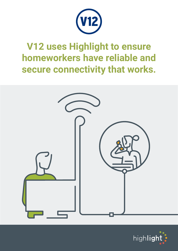

## **V12 uses Highlight to ensure homeworkers have reliable and secure connectivity that works.**



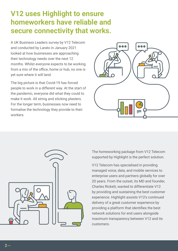### **V12 uses Highlight to ensure homeworkers have reliable and secure connectivity that works.**

A UK Business Leaders survey by V12 Telecom and conducted by Larato in January 2021 looked at how businesses are approaching their technology needs over the next 12 months. Whilst everyone expects to be working from a mix of the office, home or hub, no one is yet sure where it will land.

The big picture is that Covid-19 has forced people to work in a different way. At the start of the pandemic, everyone did what they could to make it work. All string and sticking plasters. For the longer term, businesses now need to formalise the technology they provide to their workers.





The homeworking package from V12 Telecom supported by Highlight is the perfect solution.

V12 Telecom has specialised in providing managed voice, data, and mobile services to enterprise users and partners globally for over 20 years. From the outset, its MD and founder, Charles Rickett, wanted to differentiate V12 by providing and sustaining the best customer experience. Highlight assists V12's continued delivery of a great customer experience by providing a platform that identifies the best network solutions for end users alongside maximum transparency between V12 and its customers.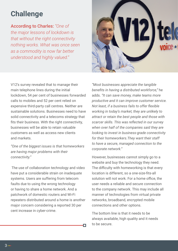#### **Challenge**

According to Charles: *"One of the major lessons of lockdown is that without the right connectivity nothing works. What was once seen as a commodity is now far better understood and highly valued."*



V12's survey revealed that to manage their main telephone lines during the initial lockdown, 54 per cent of businesses forwarded calls to mobiles and 52 per cent relied on expensive third-party call centres. Neither are sustainable solutions. Businesses need to have solid connectivity and a telecoms strategy that fits their business. With the right connectivity, businesses will be able to retain valuable customers as well as access new clients and markets.

*"One of the biggest issues is that homeworkers are having major problems with their connectivity."*

 The use of collaboration technology and video have put a considerable strain on inadequate systems. Users are suffering from telecom faults due to using the wrong technology or having to share a home network. And a patchwork of domestic routers and Wi-Fi repeaters distributed around a home is another major concern considering a reported 30 per cent increase in cyber-crime.

*"Most businesses appreciate the tangible benefits in having a distributed workforce,"* he adds. *"It can save money, make teams more productive and it can improve customer service. Not least, if a business fails to offer flexible working in today's market, they are unlikely to attract or retain the best people and those with scarcer skills. This was reflected in our survey when over half of the companies said they are looking to invest in business-grade connectivity for their homeworkers.They want their staff to have a secure, managed connection to the corporate network."* 

However, businesses cannot simply go to a website and buy the technology they need. The difficulty with homeworking is that every location is different, so a one-size-fits-all solution will not work. For a home office, the user needs a reliable and secure connection to the company network. This may include all manner of technologies from virtual private networks, broadband, encrypted mobile connections and other options.

The bottom line is that it needs to be always available, high quality and it needs to be secure.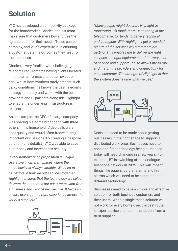### **Solution**

V12 has developed a connectivity package for the homeworker. Charles and his team make sure that customers buy and use the right solution for their needs. These can be complex, and V12's expertise is in ensuring a customer gets the outcomes they need for their business.

Charles is very familiar with challenging telecoms requirements having clients located in remote rainforests and ocean swept oil rigs. Whilst homeworkers rarely present such tricky conditions, he knows the best telecoms strategy to deploy and works with the best providers and IT partners alongside Highlight to ensure the underlying infrastructure is resilient.

As an example, the CEO of a large company was sharing his home broadband with three others in his household. Video calls were poor quality and would often freeze during important discussions. By creating a bespoke solution (any details?) V12 was able to save him money and increase his security.

*"Every homeworking proposition is unique. Users live in different places where the connectivity is always variable. We need to be flexible in how we put services together. Highlight ensures that the technology we select delivers the outcomes our customers want from a business and service perspective. It helps us ensure users get the right experience across the various suppliers."*



*"Many people might describe Highlight as monitoring. It's much more! Monitoring in the telecoms sector tends to be very technical and intangible. With Highlight, I get a rounded picture of the services my customers are getting. This enables me to deliver the right services, the right equipment and the very best of service and support. It also allows me to mix and match the providers and connectivity for each customer. The strength of Highlight is that the system doesn't care what we use."*



Decisions need to be made about getting businesses in the right shape to support a distributed workforce. Businesses need to consider if the technology being purchased today will need changing in a few years. For example, BT is switching off the analogue telephone network in 2025. This will impact things like pagers, burglar alarms and fire alarms which will need to be connected to a different technology.

Businesses need to have a simple and effective solution for both business customers and their users. When a single mass solution will not work for every home user, the best route is expert advice and recommendation from a trust supplier.